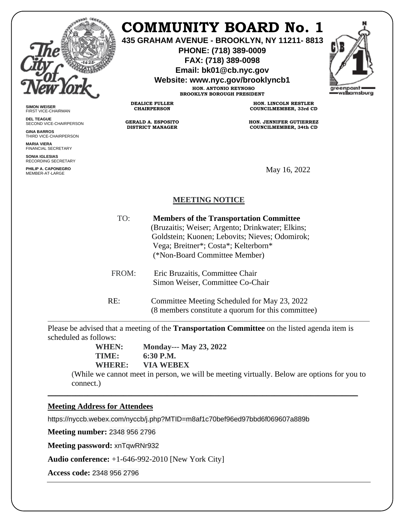

**SIMON WEISER** FIRST VICE-CHAIRMAN **DEL TEAGUE**

**GINA BARROS** THIRD VICE-CHAIRPERSON

**MARIA VIERA** FINANCIAL SECRETARY **SONIA IGLESIAS** RECORDING SECRETARY **PHILIP A. CAPONEGRO**

SECOND VICE-CHAIRPERSON

## **COMMUNITY BOARD No. 1**

**435 GRAHAM AVENUE - BROOKLYN, NY 11211- 8813**

**PHONE: (718) 389-0009 FAX: (718) 389-0098**

**Email: bk01@cb.nyc.gov**

**Website: www.nyc.gov/brooklyncb1**

**HON. ANTONIO REYNOSO BROOKLYN BOROUGH PRESIDENT**

**DEALICE FULLER CHAIRPERSON**

**GERALD A. ESPOSITO DISTRICT MANAGER**

**HON. LINCOLN RESTLER COUNCILMEMBER, 33rd CD**

**HON. JENNIFER GUTIERREZ COUNCILMEMBER, 34th CD**

May 16, 2022

## **MEETING NOTICE**

| TO:   | <b>Members of the Transportation Committee</b><br>(Bruzaitis; Weiser; Argento; Drinkwater; Elkins;<br>Goldstein; Kuonen; Lebovits; Nieves; Odomirok;<br>Vega; Breitner*; Costa*; Kelterborn*<br>(*Non-Board Committee Member) |
|-------|-------------------------------------------------------------------------------------------------------------------------------------------------------------------------------------------------------------------------------|
| FROM: | Eric Bruzaitis, Committee Chair<br>Simon Weiser, Committee Co-Chair                                                                                                                                                           |

RE: Committee Meeting Scheduled for May 23, 2022 (8 members constitute a quorum for this committee)

Please be advised that a meeting of the **Transportation Committee** on the listed agenda item is scheduled as follows:

\_\_\_\_\_\_\_\_\_\_\_\_\_\_\_\_\_\_\_\_\_\_\_\_\_\_\_\_\_\_\_\_\_\_\_\_\_\_\_\_\_\_\_\_\_\_\_\_\_\_\_\_\_\_\_\_\_\_\_\_\_\_\_\_\_\_\_\_\_\_\_\_\_\_\_\_\_\_

**WHEN: Monday--- May 23, 2022 TIME: 6:30 P.M. WHERE: VIA WEBEX**

(While we cannot meet in person, we will be meeting virtually. Below are options for you to connect.)

## **Meeting Address for Attendees**

https://nyccb.webex.com/nyccb/j.php?MTID=m8af1c70bef96ed97bbd6f069607a889b

**Meeting number:** 2348 956 2796

**Meeting password:** xnTqwRNr932

**Audio conference:** +1-646-992-2010 [New York City]

**Access code:** 2348 956 2796